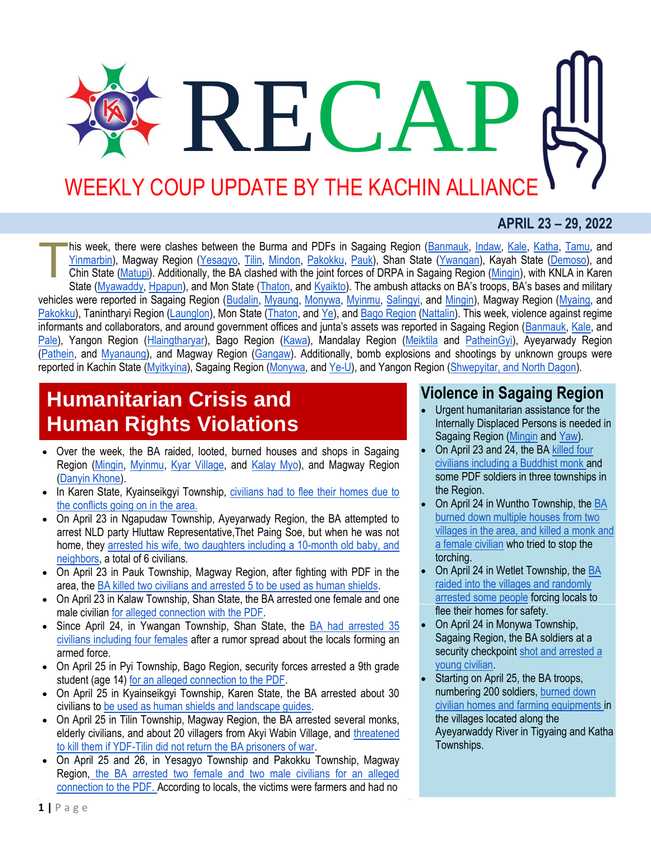# RECA WEEKLY COUP UPDATE BY THE KACHIN ALLIANCE

#### **APRIL 23 – 29, 2022**

his week, there were clashes between the Burma and PDFs in Sagaing Region [\(Banmauk,](http://burmese.dvb.no/archives/529980) [Indaw,](http://burmese.dvb.no/archives/530630) [Kale,](https://www.facebook.com/The74Media/posts/pfbid02edHLGkTHjHdoPyJPouFUw7JHKNgwKAqpb1WHMTwyceY842jtWPFGUk55fJUw2ouvl) [Katha,](https://www.facebook.com/The74Media/posts/pfbid02ZLqagq2atCAxovNBxjhpAqteTRKgu2eCSSnShhrtpi8pAk2EAGCKHzomCCzgE7Del) [Tamu,](http://burmese.dvb.no/archives/529557) and [Yinmarbin\)](http://burmese.dvb.no/archives/530418), Magway Region [\(Yesagyo,](http://burmese.dvb.no/archives/530624) [Tilin,](http://burmese.dvb.no/archives/529846) [Mindon,](http://burmese.dvb.no/archives/530424) [Pakokku,](http://burmese.dvb.no/archives/530283) [Pauk\)](http://burmese.dvb.no/archives/530018), Shan State [\(Ywangan\)](http://burmese.dvb.no/archives/530692), Kayah State [\(Demoso\)](http://burmese.dvb.no/archives/530664), and Chin State [\(Matupi\)](http://burmese.dvb.no/archives/530520). Additionally, the BA clashed with the joint forces of DRPA in Sagaing Region [\(Mingin\)](https://www.facebook.com/The74Media/posts/pfbid032kigzW6hvjAaguSL3wErA9X1Wbwsypv363RVqstVqX9oovbbWyLpYr1cpjVDTMAFl), with KNLA in Karen State [\(Myawaddy,](http://burmese.dvb.no/archives/530600) [Hpapun\)](http://burmese.dvb.no/archives/530440), and Mon State [\(Thaton,](http://burmese.dvb.no/archives/530119) an[d Kyaikto](http://burmese.dvb.no/archives/529803)). The ambush attacks on BA's troops, BA's bases and military vehicles were reported in Sagaing Region [\(Budalin,](http://burmese.dvb.no/archives/529753) [Myaung,](https://www.facebook.com/The74Media/posts/pfbid0Lwh3pidvqicqtmafG8kTRZtL23SdcjCCubvJWhVPt7bvpcgKU7eo5Cki5iqr29fQl) [Monywa,](https://www.facebook.com/The74Media/posts/pfbid0Y9pSDxwBazzzgxYvWk78iWFy3TUkmUSF62fK3rSnRzdwgmHLwJNX4wyv5GHzJWUGl) [Myinmu,](http://burmese.dvb.no/archives/530531) [Salingyi,](http://burmese.dvb.no/archives/530483) and [Mingin\)](http://burmese.dvb.no/archives/530132), Magway Region [\(Myaing,](http://burmese.dvb.no/archives/530578) and [Pakokku\)](http://burmese.dvb.no/archives/530011), Tanintharyi Region [\(Launglon\)](http://burmese.dvb.no/archives/530386), Mon State [\(Thaton,](http://burmese.dvb.no/archives/530008) an[d Ye\)](http://burmese.dvb.no/archives/530297), and [Bago Region](http://burmese.dvb.no/archives/529983) [\(Nattalin\)](http://burmese.dvb.no/archives/529560). This week, violence against regime informants and collaborators, and around government offices and junta's assets was reported in Sagaing Region ([Banmauk,](https://www.facebook.com/The74Media/posts/pfbid02Y4aLP1oqbLhKPJ6Fn2HCuetijgM76AD8txfkcJw3Ug9hVG1BfYSfxxgQ9icfvig2l) [Kale,](http://burmese.dvb.no/archives/530294) and [Pale\)](http://burmese.dvb.no/archives/530026), Yangon Region [\(Hlaingtharyar\)](http://burmese.dvb.no/archives/530559), Bago Region [\(Kawa\)](http://burmese.dvb.no/archives/530317), Mandalay Region [\(Meiktila](http://burmese.dvb.no/archives/530202) and [PatheinGyi\)](http://burmese.dvb.no/archives/530140), Ayeyarwady Region [\(Pathein,](http://burmese.dvb.no/archives/529870) and [Myanaung\)](http://burmese.dvb.no/archives/529732), and Magway Region [\(Gangaw\)](http://burmese.dvb.no/archives/529597). Additionally, bomb explosions and shootings by unknown groups were reported in Kachin State [\(Myitkyina\)](https://www.facebook.com/The74Media/posts/pfbid0ZAuEKcFFqFsw6tcGs8U2J21kqNtV2A9JGZLtmDYSHTYWyzAppz3bPSV4orCj8TWAl), Sagaing Region [\(Monywa,](http://burmese.dvb.no/archives/530553) and [Ye-U\)](http://burmese.dvb.no/archives/529806), and Yangon Region [\(Shwepyitar, and North Dagon\)](http://burmese.dvb.no/archives/530033). T

## **Humanitarian Crisis and Human Rights Violations**

- Over the week, the BA raided, looted, burned houses and shops in Sagaing Region [\(Mingin,](https://www.facebook.com/The74Media/posts/pfbid032kigzW6hvjAaguSL3wErA9X1Wbwsypv363RVqstVqX9oovbbWyLpYr1cpjVDTMAFl) [Myinmu,](http://burmese.dvb.no/archives/530735) [Kyar Village,](http://burmese.dvb.no/archives/530627) and [Kalay Myo\)](http://burmese.dvb.no/archives/530751), and Magway Region [\(Danyin Khone\)](http://burmese.dvb.no/archives/530370).
- In Karen State, Kyainseikgyi Township, civilians had to flee their homes due to [the conflicts going on in the area.](http://burmese.dvb.no/archives/529885)
- On April 23 in Ngapudaw Township, Ayeyarwady Region, the BA attempted to arrest NLD party Hluttaw Representative,Thet Paing Soe, but when he was not home, they [arrested his wife, two daughters including a 10-month old baby, and](http://burmese.dvb.no/archives/529911)  [neighbors,](http://burmese.dvb.no/archives/529911) a total of 6 civilians.
- On April 23 in Pauk Township, Magway Region, after fighting with PDF in the area, th[e BA killed two civilians and arrested 5 to be used as human shields.](http://burmese.dvb.no/archives/529601)
- On April 23 in Kalaw Township, Shan State, the BA arrested one female and one male civilian [for alleged connection with the PDF.](http://burmese.dvb.no/archives/529663)
- Since April 24, in Ywangan Township, Shan State, the [BA had arrested 35](http://burmese.dvb.no/archives/529867)  [civilians including four females](http://burmese.dvb.no/archives/529867) after a rumor spread about the locals forming an armed force.
- On April 25 in Pyi Township, Bago Region, security forces arrested a 9th grade student (age 14) [for an alleged connection to the PDF.](http://burmese.dvb.no/archives/529735)
- On April 25 in Kyainseikgyi Township, Karen State, the BA arrested about 30 civilians t[o be used as human shields and landscape guides.](http://burmese.dvb.no/archives/529756)
- On April 25 in Tilin Township, Magway Region, the BA arrested several monks, elderly civilians, and about 20 villagers from Akyi Wabin Village, and [threatened](http://burmese.dvb.no/archives/530193)  [to kill them if YDF-Tilin did not return the BA prisoners of war.](http://burmese.dvb.no/archives/530193)
- On April 25 and 26, in Yesagyo Township and Pakokku Township, Magway Region, [the BA arrested two female and two male civilians for an alleged](http://burmese.dvb.no/archives/530145)  [connection to the PDF. A](http://burmese.dvb.no/archives/530145)ccording to locals, the victims were farmers and had no

### **Violence in Sagaing Region**

- Urgent humanitarian assistance for the Internally Displaced Persons is needed in Sagaing Region [\(Mingin](http://burmese.dvb.no/archives/530282) and [Yaw\)](http://burmese.dvb.no/archives/529333).
- On April 23 and 24, the B[A killed four](http://burmese.dvb.no/archives/529654)  [civilians including a Buddhist monk a](http://burmese.dvb.no/archives/529654)nd some PDF soldiers in three townships in the Region.
- On April 24 in Wuntho Township, the [BA](https://www.facebook.com/The74Media/posts/pfbid02Da8dEpK118fvx3jVBMmCgcmttc8W1AtfBLs5cZP2HF8wLWnF893edcFsSBn7hQy4l)  [burned down multiple houses from two](https://www.facebook.com/The74Media/posts/pfbid02Da8dEpK118fvx3jVBMmCgcmttc8W1AtfBLs5cZP2HF8wLWnF893edcFsSBn7hQy4l)  [villages in the area, and killed a monk and](https://www.facebook.com/The74Media/posts/pfbid02Da8dEpK118fvx3jVBMmCgcmttc8W1AtfBLs5cZP2HF8wLWnF893edcFsSBn7hQy4l)  [a female civilian](https://www.facebook.com/The74Media/posts/pfbid02Da8dEpK118fvx3jVBMmCgcmttc8W1AtfBLs5cZP2HF8wLWnF893edcFsSBn7hQy4l) who tried to stop the torching.
- On April 24 in Wetlet Township, th[e BA](http://burmese.dvb.no/archives/529563)  [raided into the villages and randomly](http://burmese.dvb.no/archives/529563)  [arrested some people](http://burmese.dvb.no/archives/529563) forcing locals to flee their homes for safety.
- On April 24 in Monywa Township, Sagaing Region, the BA soldiers at a security checkpoint shot and arrested a [young civilian.](http://burmese.dvb.no/archives/529581)
- Starting on April 25, the BA troops, numbering 200 soldiers, [burned down](https://burmese.kachinnews.com/2022/04/30/apr30-zm1/)  [civilian homes and farming equipments i](https://burmese.kachinnews.com/2022/04/30/apr30-zm1/)n the villages located along the Ayeyarwaddy River in Tigyaing and Katha Townships.